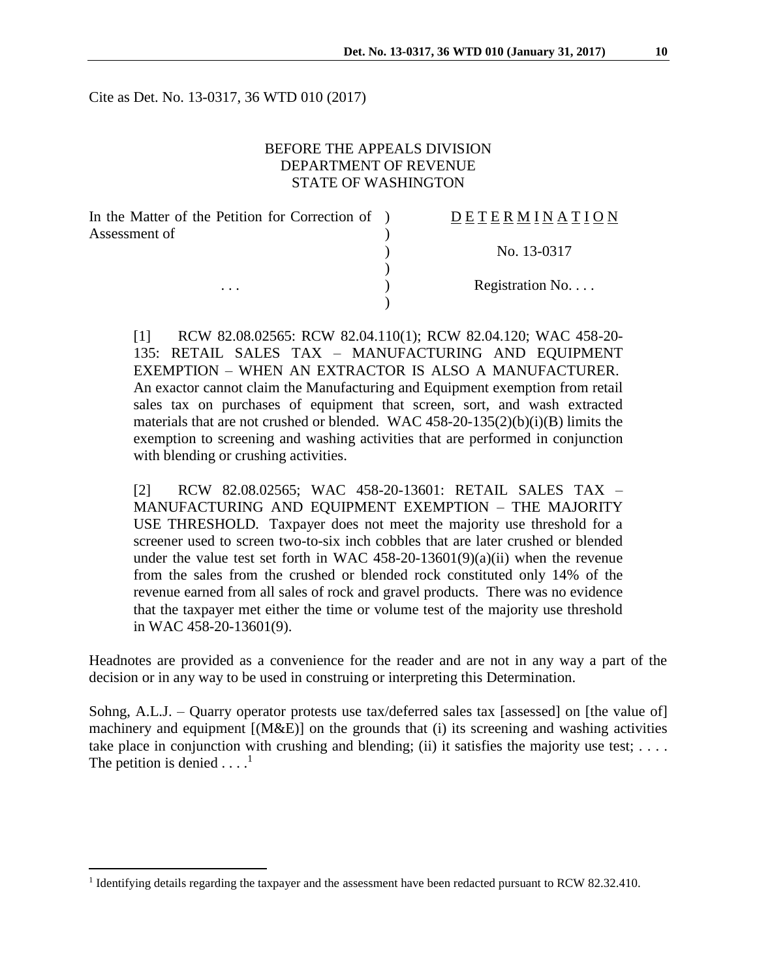Cite as Det. No. 13-0317, 36 WTD 010 (2017)

## BEFORE THE APPEALS DIVISION DEPARTMENT OF REVENUE STATE OF WASHINGTON

| In the Matter of the Petition for Correction of ) | DETERMINATION   |
|---------------------------------------------------|-----------------|
| Assessment of                                     |                 |
|                                                   | No. 13-0317     |
|                                                   |                 |
| .                                                 | Registration No |
|                                                   |                 |

[1] RCW 82.08.02565: RCW 82.04.110(1); RCW 82.04.120; WAC 458-20- 135: RETAIL SALES TAX – MANUFACTURING AND EQUIPMENT EXEMPTION – WHEN AN EXTRACTOR IS ALSO A MANUFACTURER. An exactor cannot claim the Manufacturing and Equipment exemption from retail sales tax on purchases of equipment that screen, sort, and wash extracted materials that are not crushed or blended. WAC 458-20-135(2)(b)(i)(B) limits the exemption to screening and washing activities that are performed in conjunction with blending or crushing activities.

[2] RCW 82.08.02565; WAC 458-20-13601: RETAIL SALES TAX – MANUFACTURING AND EQUIPMENT EXEMPTION – THE MAJORITY USE THRESHOLD*.* Taxpayer does not meet the majority use threshold for a screener used to screen two-to-six inch cobbles that are later crushed or blended under the value test set forth in WAC 458-20-13601(9)(a)(ii) when the revenue from the sales from the crushed or blended rock constituted only 14% of the revenue earned from all sales of rock and gravel products. There was no evidence that the taxpayer met either the time or volume test of the majority use threshold in WAC 458-20-13601(9).

Headnotes are provided as a convenience for the reader and are not in any way a part of the decision or in any way to be used in construing or interpreting this Determination.

Sohng, A.L.J. – Quarry operator protests use tax/deferred sales tax [assessed] on [the value of] machinery and equipment [(M&E)] on the grounds that (i) its screening and washing activities take place in conjunction with crushing and blending; (ii) it satisfies the majority use test;  $\dots$ . The petition is denied  $\dots$ <sup>1</sup>

 $\overline{a}$ 

<sup>&</sup>lt;sup>1</sup> Identifying details regarding the taxpayer and the assessment have been redacted pursuant to RCW 82.32.410.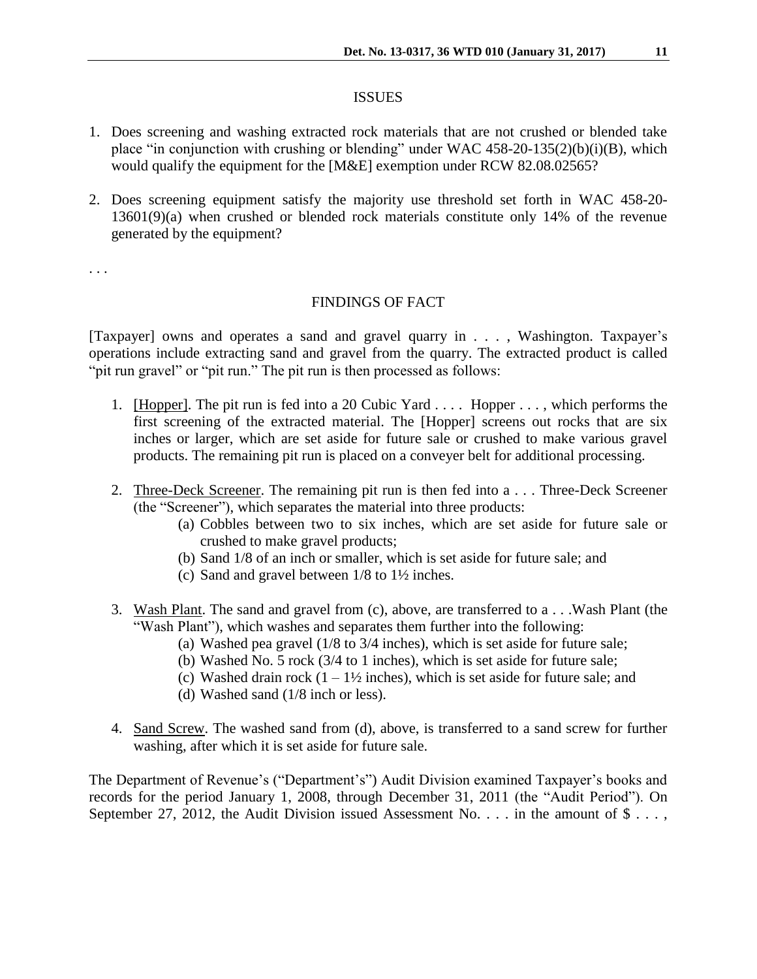#### ISSUES

- 1. Does screening and washing extracted rock materials that are not crushed or blended take place "in conjunction with crushing or blending" under WAC 458-20-135(2)(b)(i)(B), which would qualify the equipment for the [M&E] exemption under RCW 82.08.02565?
- 2. Does screening equipment satisfy the majority use threshold set forth in WAC 458-20- 13601(9)(a) when crushed or blended rock materials constitute only 14% of the revenue generated by the equipment?

. . .

#### FINDINGS OF FACT

[Taxpayer] owns and operates a sand and gravel quarry in . . . , Washington. Taxpayer's operations include extracting sand and gravel from the quarry. The extracted product is called "pit run gravel" or "pit run." The pit run is then processed as follows:

- 1. [Hopper]. The pit run is fed into a 20 Cubic Yard . . . . Hopper . . . , which performs the first screening of the extracted material. The [Hopper] screens out rocks that are six inches or larger, which are set aside for future sale or crushed to make various gravel products. The remaining pit run is placed on a conveyer belt for additional processing.
- 2. Three-Deck Screener. The remaining pit run is then fed into a . . . Three-Deck Screener (the "Screener"), which separates the material into three products:
	- (a) Cobbles between two to six inches, which are set aside for future sale or crushed to make gravel products;
	- (b) Sand 1/8 of an inch or smaller, which is set aside for future sale; and
	- (c) Sand and gravel between 1/8 to 1½ inches.
- 3. Wash Plant. The sand and gravel from (c), above, are transferred to a . . .Wash Plant (the "Wash Plant"), which washes and separates them further into the following:
	- (a) Washed pea gravel (1/8 to 3/4 inches), which is set aside for future sale;
	- (b) Washed No. 5 rock (3/4 to 1 inches), which is set aside for future sale;
	- (c) Washed drain rock  $(1 1\frac{1}{2})$  inches), which is set aside for future sale; and
	- (d) Washed sand (1/8 inch or less).
- 4. Sand Screw. The washed sand from (d), above, is transferred to a sand screw for further washing, after which it is set aside for future sale.

The Department of Revenue's ("Department's") Audit Division examined Taxpayer's books and records for the period January 1, 2008, through December 31, 2011 (the "Audit Period"). On September 27, 2012, the Audit Division issued Assessment No.  $\dots$  in the amount of  $\$\dots$ ,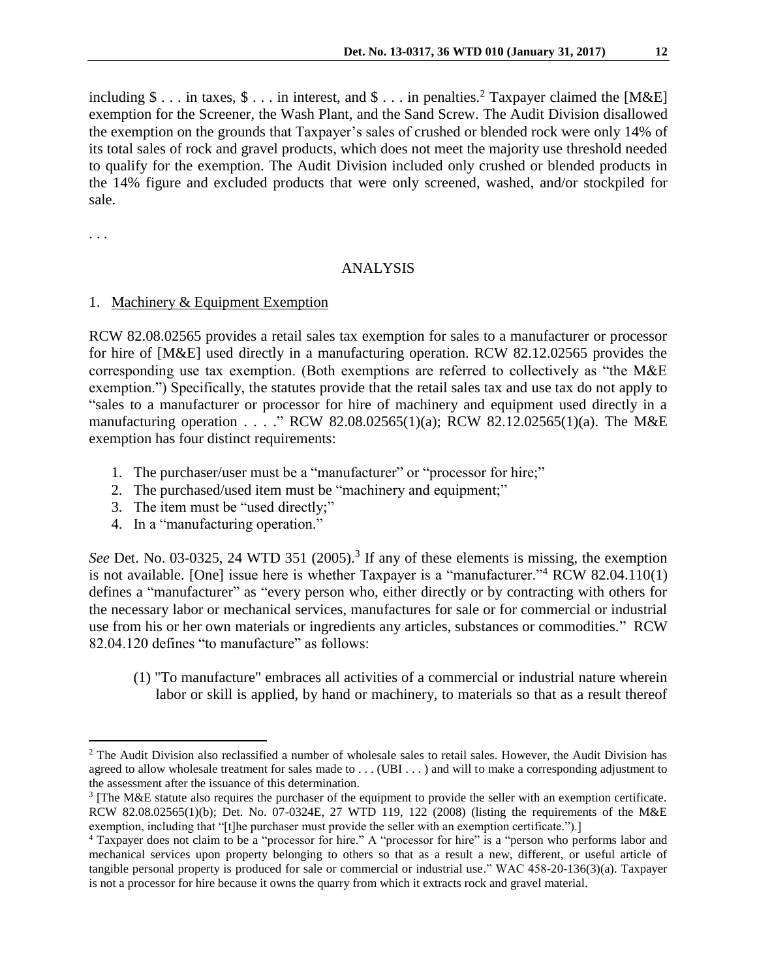including  $\$\dots$  in taxes,  $\$\dots$  in interest, and  $\$\dots$  in penalties.<sup>2</sup> Taxpayer claimed the [M&E] exemption for the Screener, the Wash Plant, and the Sand Screw. The Audit Division disallowed the exemption on the grounds that Taxpayer's sales of crushed or blended rock were only 14% of its total sales of rock and gravel products, which does not meet the majority use threshold needed to qualify for the exemption. The Audit Division included only crushed or blended products in the 14% figure and excluded products that were only screened, washed, and/or stockpiled for sale.

. . .

 $\overline{a}$ 

## ANALYSIS

#### 1. Machinery & Equipment Exemption

RCW 82.08.02565 provides a retail sales tax exemption for sales to a manufacturer or processor for hire of [M&E] used directly in a manufacturing operation. RCW 82.12.02565 provides the corresponding use tax exemption. (Both exemptions are referred to collectively as "the M&E exemption.") Specifically, the statutes provide that the retail sales tax and use tax do not apply to "sales to a manufacturer or processor for hire of machinery and equipment used directly in a manufacturing operation . . . ." RCW 82.08.02565(1)(a); RCW 82.12.02565(1)(a). The M&E exemption has four distinct requirements:

- 1. The purchaser/user must be a "manufacturer" or "processor for hire;"
- 2. The purchased/used item must be "machinery and equipment;"
- 3. The item must be "used directly;"
- 4. In a "manufacturing operation."

See Det. No. 03-0325, 24 WTD 351 (2005).<sup>3</sup> If any of these elements is missing, the exemption is not available. [One] issue here is whether Taxpayer is a "manufacturer."<sup>4</sup> RCW 82.04.110(1) defines a "manufacturer" as "every person who, either directly or by contracting with others for the necessary labor or mechanical services, manufactures for sale or for commercial or industrial use from his or her own materials or ingredients any articles, substances or commodities." RCW 82.04.120 defines "to manufacture" as follows:

(1) "To manufacture" embraces all activities of a commercial or industrial nature wherein labor or skill is applied, by hand or machinery, to materials so that as a result thereof

<sup>&</sup>lt;sup>2</sup> The Audit Division also reclassified a number of wholesale sales to retail sales. However, the Audit Division has agreed to allow wholesale treatment for sales made to . . . (UBI . . . ) and will to make a corresponding adjustment to the assessment after the issuance of this determination.

<sup>&</sup>lt;sup>3</sup> [The M&E statute also requires the purchaser of the equipment to provide the seller with an exemption certificate. RCW 82.08.02565(1)(b); Det. No. 07-0324E, 27 WTD 119, 122 (2008) (listing the requirements of the M&E exemption, including that "[t]he purchaser must provide the seller with an exemption certificate.").]

<sup>4</sup> Taxpayer does not claim to be a "processor for hire." A "processor for hire" is a "person who performs labor and mechanical services upon property belonging to others so that as a result a new, different, or useful article of tangible personal property is produced for sale or commercial or industrial use." WAC 458-20-136(3)(a). Taxpayer is not a processor for hire because it owns the quarry from which it extracts rock and gravel material.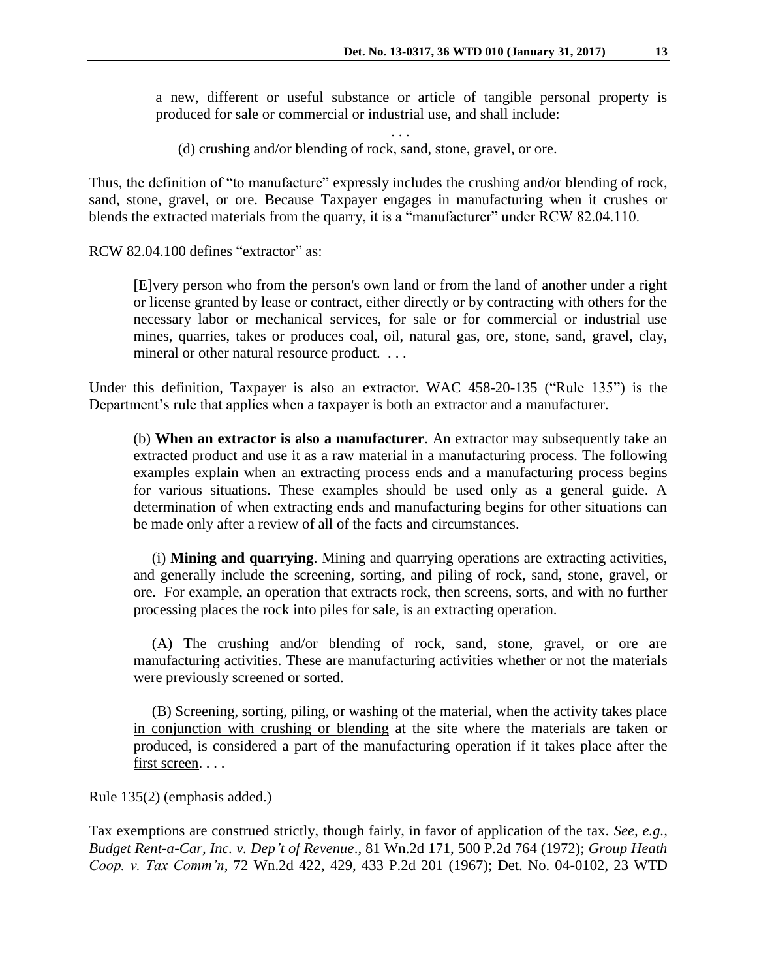a new, different or useful substance or article of tangible personal property is produced for sale or commercial or industrial use, and shall include:

. . .

(d) crushing and/or blending of rock, sand, stone, gravel, or ore.

Thus, the definition of "to manufacture" expressly includes the crushing and/or blending of rock, sand, stone, gravel, or ore. Because Taxpayer engages in manufacturing when it crushes or blends the extracted materials from the quarry, it is a "manufacturer" under RCW 82.04.110.

RCW 82.04.100 defines "extractor" as:

[E]very person who from the person's own land or from the land of another under a right or license granted by lease or contract, either directly or by contracting with others for the necessary labor or mechanical services, for sale or for commercial or industrial use mines, quarries, takes or produces coal, oil, natural gas, ore, stone, sand, gravel, clay, mineral or other natural resource product. . . .

Under this definition, Taxpayer is also an extractor. WAC 458-20-135 ("Rule 135") is the Department's rule that applies when a taxpayer is both an extractor and a manufacturer.

(b) **When an extractor is also a manufacturer**. An extractor may subsequently take an extracted product and use it as a raw material in a manufacturing process. The following examples explain when an extracting process ends and a manufacturing process begins for various situations. These examples should be used only as a general guide. A determination of when extracting ends and manufacturing begins for other situations can be made only after a review of all of the facts and circumstances.

 (i) **Mining and quarrying**. Mining and quarrying operations are extracting activities, and generally include the screening, sorting, and piling of rock, sand, stone, gravel, or ore. For example, an operation that extracts rock, then screens, sorts, and with no further processing places the rock into piles for sale, is an extracting operation.

 (A) The crushing and/or blending of rock, sand, stone, gravel, or ore are manufacturing activities. These are manufacturing activities whether or not the materials were previously screened or sorted.

 (B) Screening, sorting, piling, or washing of the material, when the activity takes place in conjunction with crushing or blending at the site where the materials are taken or produced, is considered a part of the manufacturing operation if it takes place after the first screen. . . .

Rule 135(2) (emphasis added.)

Tax exemptions are construed strictly, though fairly, in favor of application of the tax. *See, e.g., Budget Rent-a-Car, Inc. v. Dep't of Revenue*., 81 Wn.2d 171, 500 P.2d 764 (1972); *Group Heath Coop. v. Tax Comm'n*, 72 Wn.2d 422, 429, 433 P.2d 201 (1967); Det. No. 04-0102, 23 WTD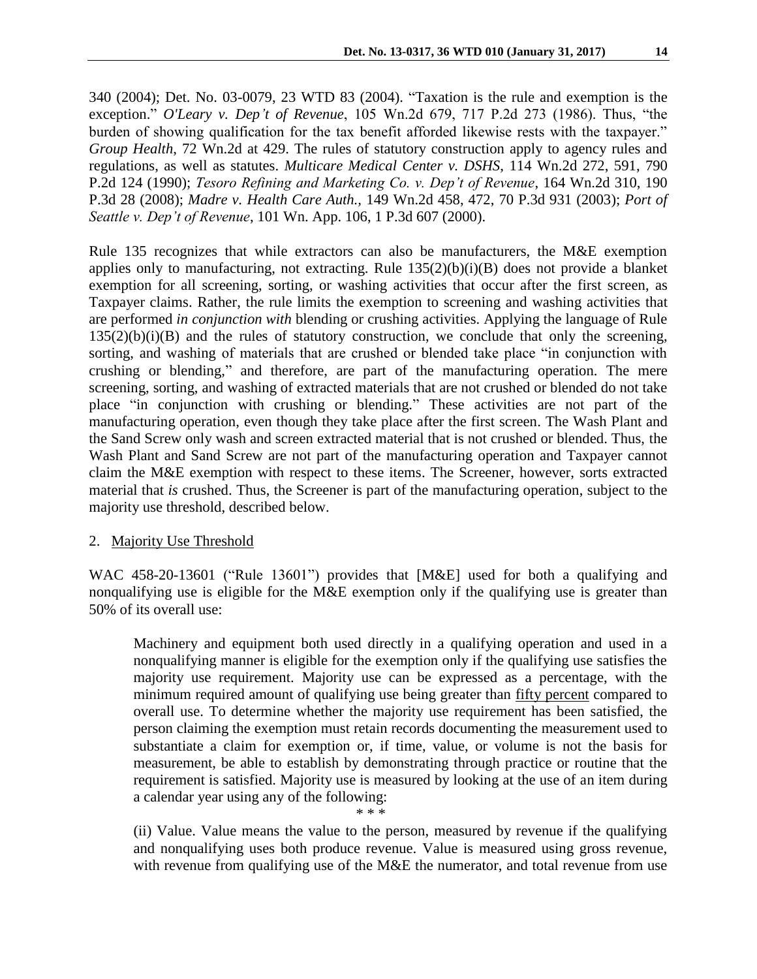340 (2004); Det. No. 03-0079, 23 WTD 83 (2004). "Taxation is the rule and exemption is the exception." *O'Leary v. Dep't of Revenue*, 105 Wn.2d 679, 717 P.2d 273 (1986). Thus, "the burden of showing qualification for the tax benefit afforded likewise rests with the taxpayer." *Group Health*, 72 Wn.2d at 429. The rules of statutory construction apply to agency rules and regulations, as well as statutes. *Multicare Medical Center v. DSHS*, 114 Wn.2d 272, 591, 790 P.2d 124 (1990); *Tesoro Refining and Marketing Co. v. Dep't of Revenue*, 164 Wn.2d 310, 190 P.3d 28 (2008); *Madre v. Health Care Auth.,* 149 Wn.2d 458, 472, 70 P.3d 931 (2003); *Port of Seattle v. Dep't of Revenue*, 101 Wn. App. 106, 1 P.3d 607 (2000).

Rule 135 recognizes that while extractors can also be manufacturers, the M&E exemption applies only to manufacturing, not extracting. Rule 135(2)(b)(i)(B) does not provide a blanket exemption for all screening, sorting, or washing activities that occur after the first screen, as Taxpayer claims. Rather, the rule limits the exemption to screening and washing activities that are performed *in conjunction with* blending or crushing activities. Applying the language of Rule  $135(2)(b)(i)(B)$  and the rules of statutory construction, we conclude that only the screening, sorting, and washing of materials that are crushed or blended take place "in conjunction with crushing or blending," and therefore, are part of the manufacturing operation. The mere screening, sorting, and washing of extracted materials that are not crushed or blended do not take place "in conjunction with crushing or blending." These activities are not part of the manufacturing operation, even though they take place after the first screen. The Wash Plant and the Sand Screw only wash and screen extracted material that is not crushed or blended. Thus, the Wash Plant and Sand Screw are not part of the manufacturing operation and Taxpayer cannot claim the M&E exemption with respect to these items. The Screener, however, sorts extracted material that *is* crushed. Thus, the Screener is part of the manufacturing operation, subject to the majority use threshold, described below.

# 2. Majority Use Threshold

WAC 458-20-13601 ("Rule 13601") provides that [M&E] used for both a qualifying and nonqualifying use is eligible for the M&E exemption only if the qualifying use is greater than 50% of its overall use:

Machinery and equipment both used directly in a qualifying operation and used in a nonqualifying manner is eligible for the exemption only if the qualifying use satisfies the majority use requirement. Majority use can be expressed as a percentage, with the minimum required amount of qualifying use being greater than fifty percent compared to overall use. To determine whether the majority use requirement has been satisfied, the person claiming the exemption must retain records documenting the measurement used to substantiate a claim for exemption or, if time, value, or volume is not the basis for measurement, be able to establish by demonstrating through practice or routine that the requirement is satisfied. Majority use is measured by looking at the use of an item during a calendar year using any of the following:

\* \* \*

(ii) Value. Value means the value to the person, measured by revenue if the qualifying and nonqualifying uses both produce revenue. Value is measured using gross revenue, with revenue from qualifying use of the M&E the numerator, and total revenue from use